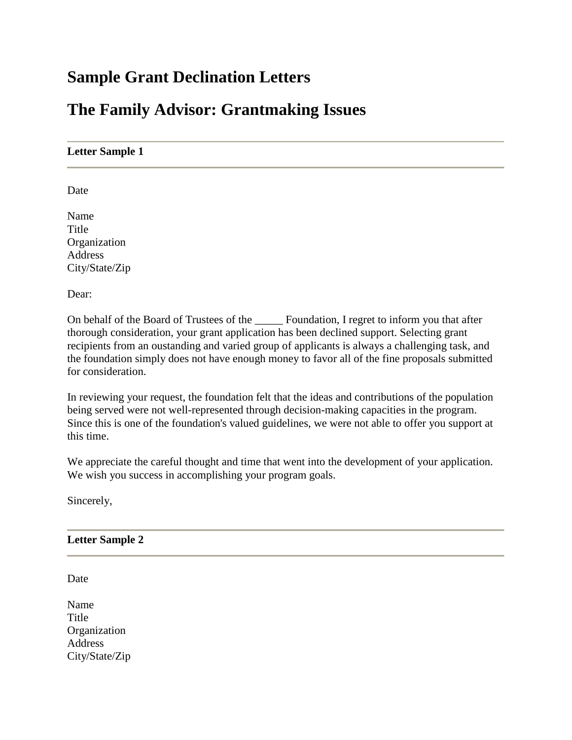# **Sample Grant Declination Letters**

## **The Family Advisor: Grantmaking Issues**

#### **Letter Sample 1**

Date

Name **Title** Organization **Address** City/State/Zip

Dear:

On behalf of the Board of Trustees of the \_\_\_\_\_ Foundation, I regret to inform you that after thorough consideration, your grant application has been declined support. Selecting grant recipients from an oustanding and varied group of applicants is always a challenging task, and the foundation simply does not have enough money to favor all of the fine proposals submitted for consideration.

In reviewing your request, the foundation felt that the ideas and contributions of the population being served were not well-represented through decision-making capacities in the program. Since this is one of the foundation's valued guidelines, we were not able to offer you support at this time.

We appreciate the careful thought and time that went into the development of your application. We wish you success in accomplishing your program goals.

Sincerely,

#### **Letter Sample 2**

Date

Name Title **Organization** Address City/State/Zip